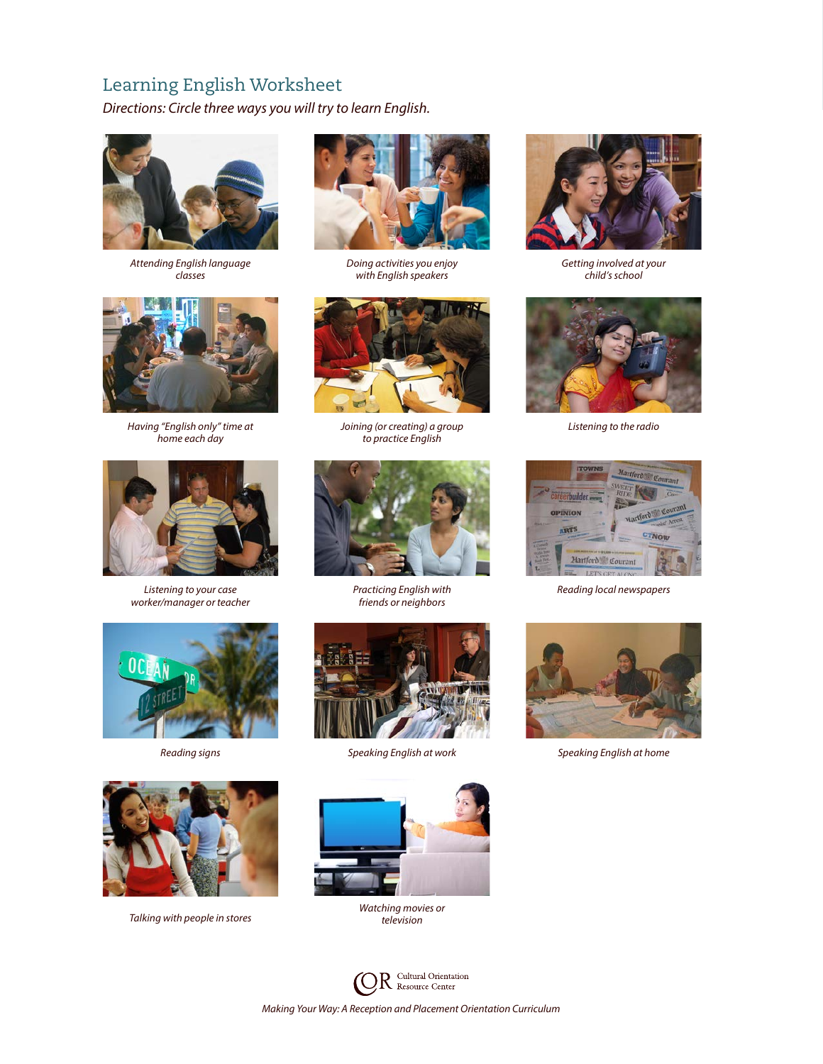# Learning English Worksheet

*Directions: Circle three ways you will try to learn English.*



*Attending English language classes*



*Having "English only" time at home each day*



*Listening to your case worker/manager or teacher*





*Talking with people in stores*



*Doing activities you enjoy with English speakers*



*Joining (or creating) a group to practice English*



*Practicing English with friends or neighbors*





*Watching movies or television*



*Getting involved at your child's school*



*Listening to the radio*



*Reading local newspapers*



*Reading signs Speaking English at work Speaking English at home*

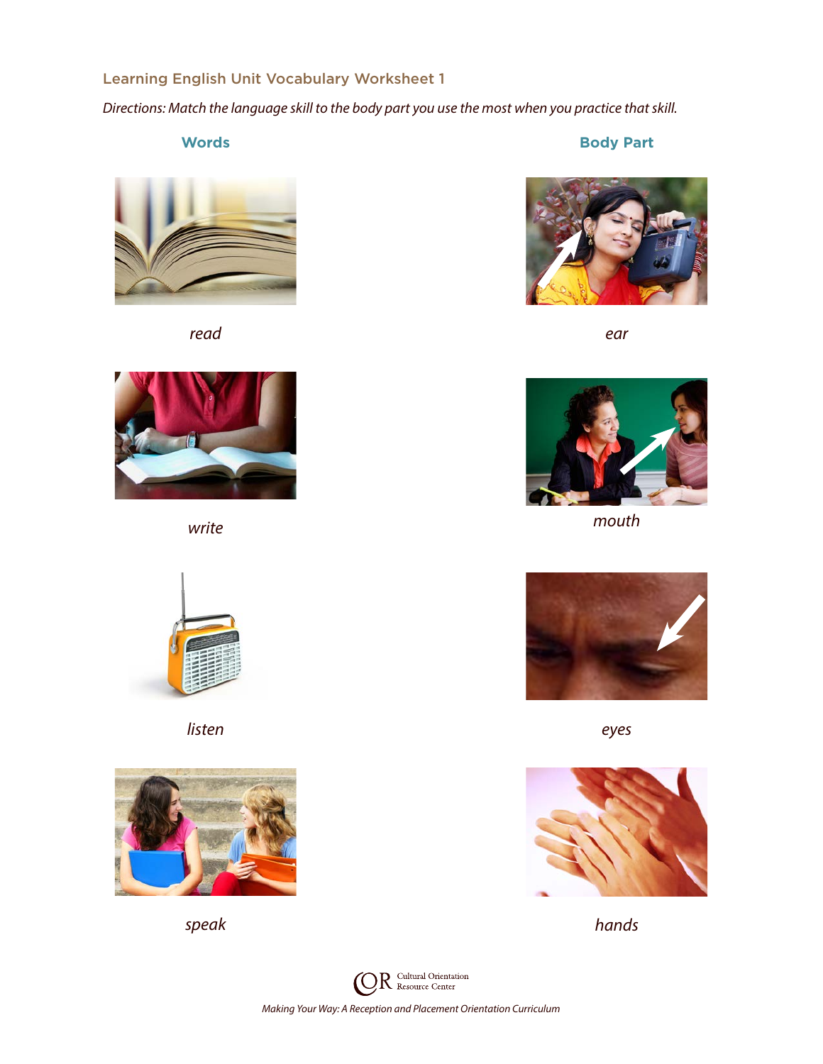## Learning English Unit Vocabulary Worksheet 1

*Directions: Match the language skill to the body part you use the most when you practice that skill.*

**Words Body Part**



*read ear*





*listen eyes*







*write mouth*





*speak hands*